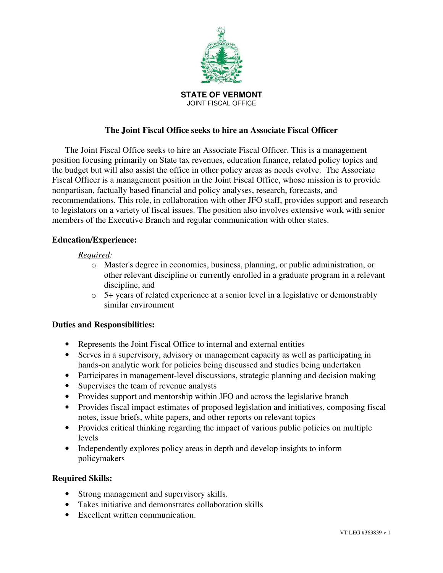

# **The Joint Fiscal Office seeks to hire an Associate Fiscal Officer**

The Joint Fiscal Office seeks to hire an Associate Fiscal Officer. This is a management position focusing primarily on State tax revenues, education finance, related policy topics and the budget but will also assist the office in other policy areas as needs evolve. The Associate Fiscal Officer is a management position in the Joint Fiscal Office, whose mission is to provide nonpartisan, factually based financial and policy analyses, research, forecasts, and recommendations. This role, in collaboration with other JFO staff, provides support and research to legislators on a variety of fiscal issues. The position also involves extensive work with senior members of the Executive Branch and regular communication with other states.

## **Education/Experience:**

#### *Required:*

- o Master's degree in economics, business, planning, or public administration, or other relevant discipline or currently enrolled in a graduate program in a relevant discipline, and
- o 5+ years of related experience at a senior level in a legislative or demonstrably similar environment

## **Duties and Responsibilities:**

- Represents the Joint Fiscal Office to internal and external entities
- Serves in a supervisory, advisory or management capacity as well as participating in hands-on analytic work for policies being discussed and studies being undertaken
- Participates in management-level discussions, strategic planning and decision making
- Supervises the team of revenue analysts
- Provides support and mentorship within JFO and across the legislative branch
- Provides fiscal impact estimates of proposed legislation and initiatives, composing fiscal notes, issue briefs, white papers, and other reports on relevant topics
- Provides critical thinking regarding the impact of various public policies on multiple levels
- Independently explores policy areas in depth and develop insights to inform policymakers

#### **Required Skills:**

- Strong management and supervisory skills.
- Takes initiative and demonstrates collaboration skills
- Excellent written communication.